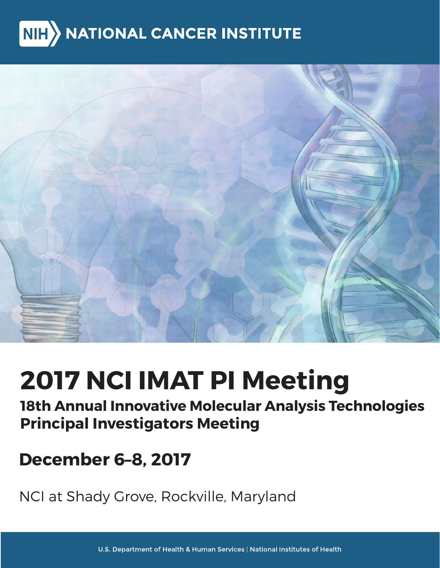# <span id="page-0-0"></span>**NATIONAL CANCER INSTITUTE**  $NIH$



# **2017 NCI IMAT PI Meeting**

# **18th Annual Innovative Molecular Analysis Technologies Principal Investigators Meeting**

# **December 6–8, 2017**

NCI at Shady Grove, Rockville, Maryland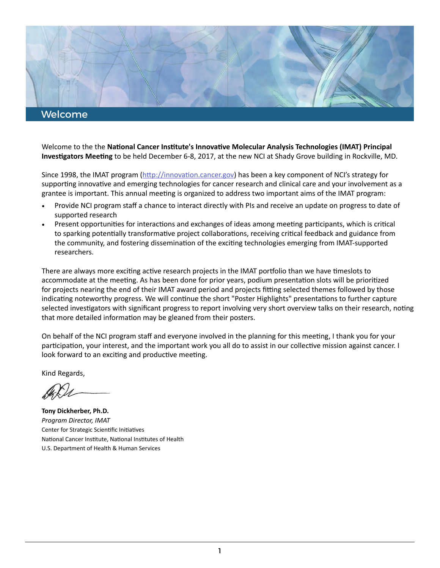

Welcome to the the **Natonal Cancer Insttute's Innovatve Molecular Analysis Technologies (IMAT) Principal Investgators Meetng** to be held December 6-8, 2017, at the new NCI at Shady Grove building in Rockville, MD.

Since 1998, the IMAT program (http://innovation.cancer.gov) has been a key component of NCI's strategy for supporting innovative and emerging technologies for cancer research and clinical care and your involvement as a grantee is important. This annual meeting is organized to address two important aims of the IMAT program:

- Provide NCI program staf a chance to interact directly with PIs and receive an update on progress to date of supported research
- Present opportunities for interactions and exchanges of ideas among meeting participants, which is critical to sparking potentally transformatve project collaboratons, receiving critcal feedback and guidance from the community, and fostering disseminaton of the excitng technologies emerging from IMAT-supported researchers.

There are always more exciting active research projects in the IMAT portfolio than we have timeslots to accommodate at the meeting. As has been done for prior years, podium presentation slots will be prioritized for projects nearing the end of their IMAT award period and projects fitting selected themes followed by those indicating noteworthy progress. We will continue the short "Poster Highlights" presentations to further capture selected investigators with significant progress to report involving very short overview talks on their research, noting that more detailed information may be gleaned from their posters.

On behalf of the NCI program staff and everyone involved in the planning for this meeting, I thank you for your participation, your interest, and the important work you all do to assist in our collective mission against cancer. I look forward to an exciting and productive meeting.

Kind Regards,

**Tony Dickherber, Ph.D.** *Program Director, IMAT*  Center for Strategic Scientific Initiatives National Cancer Institute, National Institutes of Health U.S. Department of Health & Human Services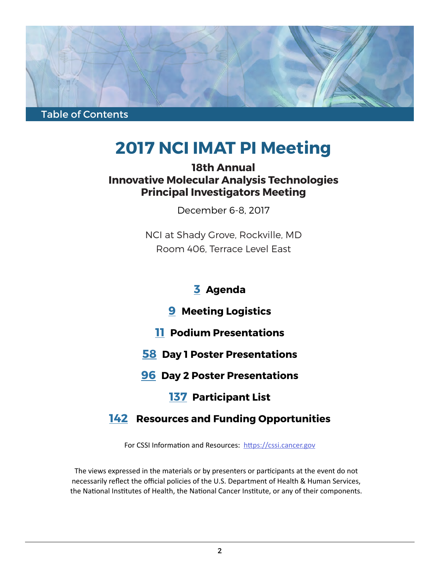

# **2017 NCI IMAT PI Meeting**

## **18th Annual Innovative Molecular Analysis Technologies Principal Investigators Meeting**

December 6-8, 2017

NCI at Shady Grove, Rockville, MD Room 406, Terrace Level East

# **[3](#page-3-0) Agenda**

## **[9](#page-0-0) Meeting Logistics**

- **[11](#page-9-0) Podium Presentations**
- **[58](#page-11-0) Day 1 Poster Presentations**
- **[96](#page-13-0) Day 2 Poster Presentations**

# **[137](#page-0-0) Participant List**

# **[142](#page-15-0) Resources and Funding Opportunities**

For CSSI Information and Resources: https://cssi.cancer.gov

The views expressed in the materials or by presenters or partcipants at the event do not necessarily reflect the official policies of the U.S. Department of Health & Human Services, the National Institutes of Health, the National Cancer Institute, or any of their components.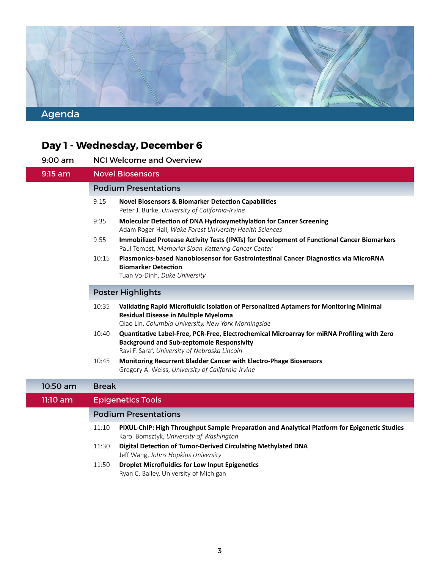<span id="page-3-0"></span>

### **Day 1 - Wednesday, December 6**

| $9:00$ am | <b>NCI Welcome and Overview</b> |
|-----------|---------------------------------|
|-----------|---------------------------------|

Jeff Wang, *Johns Hopkins University* 9:15 am Novel Biosensors Podium Presentations 9:15 **Novel Biosensors & Biomarker Detecton Capabilites** Peter J. Burke, *University of California-Irvine*  9:35 Molecular Detection of DNA Hydroxymethylation for Cancer Screening Adam Roger Hall, *Wake Forest University Health Sciences*  9:55 **Immobilized Protease Actvity Tests (IPATs) for Development of Functonal Cancer Biomarkers** Paul Tempst, *Memorial Sloan-Ketering Cancer Center* 10:15 **Plasmonics-based Nanobiosensor for Gastrointestnal Cancer Diagnostcs via MicroRNA Biomarker Detection** Tuan Vo-Dinh, *Duke University*  Poster Highlights 10:35 Validating Rapid Microfluidic Isolation of Personalized Aptamers for Monitoring Minimal **Residual Disease in Multiple Myeloma** Qiao Lin, *Columbia University, New York Morningside* 10:40 **Quanttatve Label-Free, PCR-Free, Electrochemical Microarray for miRNA Profling with Zero Background and Sub-zeptomole Responsivity** Ravi F. Saraf, *University of Nebraska Lincoln*  10:45 **Monitoring Recurrent Bladder Cancer with Electro-Phage Biosensors** Gregory A. Weiss, *University of California-Irvine*  10:50 am Break 11:10 am Epigenetics Tools Podium Presentations 11:10 **PIXUL-ChIP: High Throughput Sample Preparaton and Analytcal Platorm for Epigenetc Studies** Karol Bomsztyk, *University of Washington* 11:30 **Digital Detecton of Tumor-Derived Circulatng Methylated DNA**

11:50 **Droplet Microfuidics for Low Input Epigenetcs** Ryan C. Bailey, University of Michigan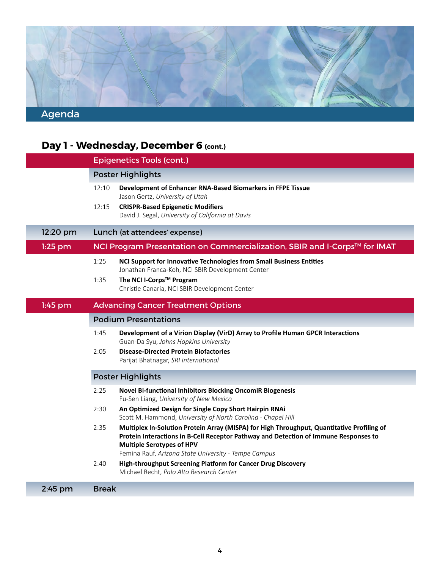

|           | Day 1 - Wednesday, December 6 (cont.)                                                                                                                                                                                                                                                  |
|-----------|----------------------------------------------------------------------------------------------------------------------------------------------------------------------------------------------------------------------------------------------------------------------------------------|
|           | <b>Epigenetics Tools (cont.)</b>                                                                                                                                                                                                                                                       |
|           | <b>Poster Highlights</b>                                                                                                                                                                                                                                                               |
|           | 12:10<br>Development of Enhancer RNA-Based Biomarkers in FFPE Tissue<br>Jason Gertz, University of Utah                                                                                                                                                                                |
|           | <b>CRISPR-Based Epigenetic Modifiers</b><br>12:15<br>David J. Segal, University of California at Davis                                                                                                                                                                                 |
| 12:20 pm  | Lunch (at attendees' expense)                                                                                                                                                                                                                                                          |
| $1:25$ pm | NCI Program Presentation on Commercialization, SBIR and I-Corps™ for IMAT                                                                                                                                                                                                              |
|           | 1:25<br>NCI Support for Innovative Technologies from Small Business Entities<br>Jonathan Franca-Koh, NCI SBIR Development Center                                                                                                                                                       |
|           | The NCI I-Corps™ Program<br>1:35                                                                                                                                                                                                                                                       |
|           | Christie Canaria, NCI SBIR Development Center                                                                                                                                                                                                                                          |
| $1:45$ pm | <b>Advancing Cancer Treatment Options</b>                                                                                                                                                                                                                                              |
|           | <b>Podium Presentations</b>                                                                                                                                                                                                                                                            |
|           | 1:45<br>Development of a Virion Display (VirD) Array to Profile Human GPCR Interactions<br>Guan-Da Syu, Johns Hopkins University                                                                                                                                                       |
|           | <b>Disease-Directed Protein Biofactories</b><br>2:05                                                                                                                                                                                                                                   |
|           | Parijat Bhatnagar, SRI International                                                                                                                                                                                                                                                   |
|           | <b>Poster Highlights</b>                                                                                                                                                                                                                                                               |
|           | 2:25<br><b>Novel Bi-functional Inhibitors Blocking OncomiR Biogenesis</b><br>Fu-Sen Liang, University of New Mexico                                                                                                                                                                    |
|           | 2:30<br>An Optimized Design for Single Copy Short Hairpin RNAi<br>Scott M. Hammond, University of North Carolina - Chapel Hill                                                                                                                                                         |
|           | 2:35<br>Multiplex In-Solution Protein Array (MISPA) for High Throughput, Quantitative Profiling of<br>Protein Interactions in B-Cell Receptor Pathway and Detection of Immune Responses to<br><b>Multiple Serotypes of HPV</b><br>Femina Rauf, Arizona State University - Tempe Campus |
|           | High-throughput Screening Platform for Cancer Drug Discovery<br>2:40<br>Michael Recht, Palo Alto Research Center                                                                                                                                                                       |
| 2:45 pm   | <b>Break</b>                                                                                                                                                                                                                                                                           |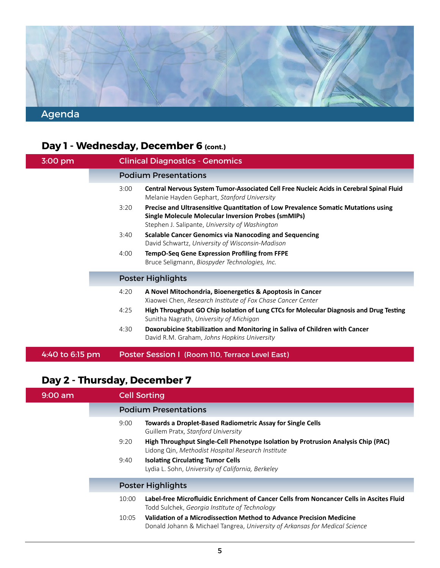

# Day 1 - Wednesday, December 6 (cont.)

| 3:00 pm         |      | <b>Clinical Diagnostics - Genomics</b>                                                                                                                                                            |
|-----------------|------|---------------------------------------------------------------------------------------------------------------------------------------------------------------------------------------------------|
|                 |      | <b>Podium Presentations</b>                                                                                                                                                                       |
|                 | 3:00 | Central Nervous System Tumor-Associated Cell Free Nucleic Acids in Cerebral Spinal Fluid<br>Melanie Hayden Gephart, Stanford University                                                           |
|                 | 3:20 | Precise and Ultrasensitive Quantitation of Low Prevalence Somatic Mutations using<br><b>Single Molecule Molecular Inversion Probes (smMIPs)</b><br>Stephen J. Salipante, University of Washington |
|                 | 3:40 | <b>Scalable Cancer Genomics via Nanocoding and Sequencing</b><br>David Schwartz, University of Wisconsin-Madison                                                                                  |
|                 | 4:00 | TempO-Seq Gene Expression Profiling from FFPE<br>Bruce Seligmann, Biospyder Technologies, Inc.                                                                                                    |
|                 |      | <b>Poster Highlights</b>                                                                                                                                                                          |
|                 | 4:20 | A Novel Mitochondria, Bioenergetics & Apoptosis in Cancer<br>Xiaowei Chen, Research Institute of Fox Chase Cancer Center                                                                          |
|                 | 4:25 | High Throughput GO Chip Isolation of Lung CTCs for Molecular Diagnosis and Drug Testing<br>Sunitha Nagrath, University of Michigan                                                                |
|                 | 4:30 | Doxorubicine Stabilization and Monitoring in Saliva of Children with Cancer<br>David R.M. Graham, Johns Hopkins University                                                                        |
| 4:40 to 6:15 pm |      | Poster Session I (Room 110, Terrace Level East)                                                                                                                                                   |

# **Day 2 - Thursday, December 7**

| $9:00$ am |       | <b>Cell Sorting</b>                                                                                                                                 |
|-----------|-------|-----------------------------------------------------------------------------------------------------------------------------------------------------|
|           |       | <b>Podium Presentations</b>                                                                                                                         |
|           | 9:00  | <b>Towards a Droplet-Based Radiometric Assay for Single Cells</b><br>Guillem Pratx, Stanford University                                             |
|           | 9:20  | High Throughput Single-Cell Phenotype Isolation by Protrusion Analysis Chip (PAC)<br>Lidong Qin, Methodist Hospital Research Institute              |
|           | 9:40  | <b>Isolating Circulating Tumor Cells</b><br>Lydia L. Sohn, University of California, Berkeley                                                       |
|           |       | <b>Poster Highlights</b>                                                                                                                            |
|           | 10:00 | Label-free Microfluidic Enrichment of Cancer Cells from Noncancer Cells in Ascites Fluid<br>Todd Sulchek, Georgia Institute of Technology           |
|           | 10:05 | Validation of a Microdissection Method to Advance Precision Medicine<br>Donald Johann & Michael Tangrea, University of Arkansas for Medical Science |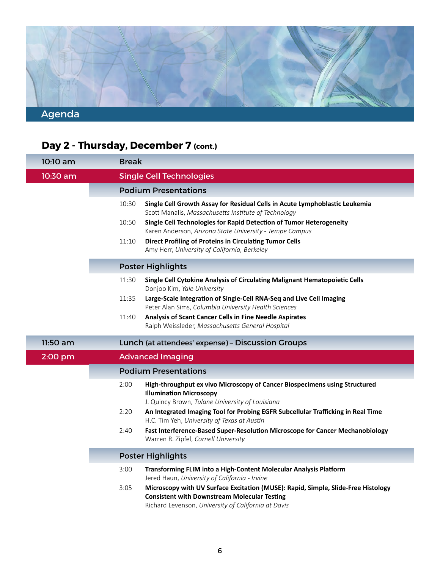

# **Day 2 - Thursday, December 7 (cont.)**

| 10:10 am | <b>Break</b> |                                                                                                                                                                                                 |
|----------|--------------|-------------------------------------------------------------------------------------------------------------------------------------------------------------------------------------------------|
| 10:30 am |              | <b>Single Cell Technologies</b>                                                                                                                                                                 |
|          |              | <b>Podium Presentations</b>                                                                                                                                                                     |
|          | 10:30        | Single Cell Growth Assay for Residual Cells in Acute Lymphoblastic Leukemia<br>Scott Manalis, Massachusetts Institute of Technology                                                             |
|          | 10:50        | Single Cell Technologies for Rapid Detection of Tumor Heterogeneity<br>Karen Anderson, Arizona State University - Tempe Campus                                                                  |
|          | 11:10        | <b>Direct Profiling of Proteins in Circulating Tumor Cells</b><br>Amy Herr, University of California, Berkeley                                                                                  |
|          |              | <b>Poster Highlights</b>                                                                                                                                                                        |
|          | 11:30        | Single Cell Cytokine Analysis of Circulating Malignant Hematopoietic Cells<br>Donjoo Kim, Yale University                                                                                       |
|          | 11:35        | Large-Scale Integration of Single-Cell RNA-Seq and Live Cell Imaging<br>Peter Alan Sims, Columbia University Health Sciences                                                                    |
|          | 11:40        | Analysis of Scant Cancer Cells in Fine Needle Aspirates<br>Ralph Weissleder, Massachusetts General Hospital                                                                                     |
| 11:50 am |              | Lunch (at attendees' expense) - Discussion Groups                                                                                                                                               |
| 2:00 pm  |              | <b>Advanced Imaging</b>                                                                                                                                                                         |
|          |              | <b>Podium Presentations</b>                                                                                                                                                                     |
|          | 2:00         | High-throughput ex vivo Microscopy of Cancer Biospecimens using Structured<br><b>Illumination Microscopy</b><br>J. Quincy Brown, Tulane University of Louisiana                                 |
|          | 2:20         | An Integrated Imaging Tool for Probing EGFR Subcellular Trafficking in Real Time<br>H.C. Tim Yeh, University of Texas at Austin                                                                 |
|          | 2:40         | Fast Interference-Based Super-Resolution Microscope for Cancer Mechanobiology<br>Warren R. Zipfel, Cornell University                                                                           |
|          |              | <b>Poster Highlights</b>                                                                                                                                                                        |
|          | 3:00         | Transforming FLIM into a High-Content Molecular Analysis Platform<br>Jered Haun, University of California - Irvine                                                                              |
|          | 3:05         | Microscopy with UV Surface Excitation (MUSE): Rapid, Simple, Slide-Free Histology<br><b>Consistent with Downstream Molecular Testing</b><br>Richard Levenson, University of California at Davis |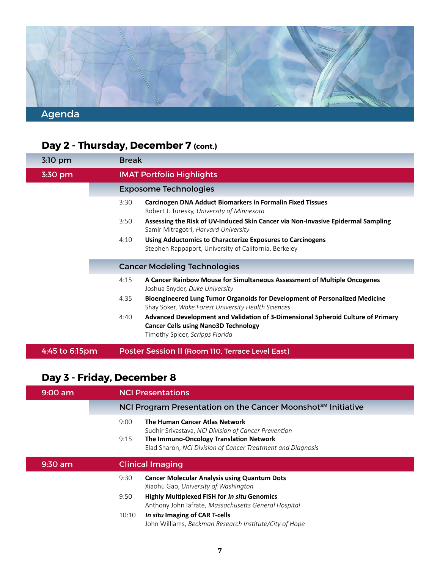

# Day 2 - Thursday, December 7 (cont.)

| $3:10$ pm      | <b>Break</b> |                                                                                                                                                                    |
|----------------|--------------|--------------------------------------------------------------------------------------------------------------------------------------------------------------------|
| 3:30 pm        |              | <b>IMAT Portfolio Highlights</b>                                                                                                                                   |
|                |              | <b>Exposome Technologies</b>                                                                                                                                       |
|                | 3:30         | <b>Carcinogen DNA Adduct Biomarkers in Formalin Fixed Tissues</b><br>Robert J. Turesky, University of Minnesota                                                    |
|                | 3:50         | Assessing the Risk of UV-Induced Skin Cancer via Non-Invasive Epidermal Sampling<br>Samir Mitragotri, Harvard University                                           |
|                | 4:10         | Using Adductomics to Characterize Exposures to Carcinogens<br>Stephen Rappaport, University of California, Berkeley                                                |
|                |              | <b>Cancer Modeling Technologies</b>                                                                                                                                |
|                | 4:15         | A Cancer Rainbow Mouse for Simultaneous Assessment of Multiple Oncogenes<br>Joshua Snyder, Duke University                                                         |
|                | 4:35         | Bioengineered Lung Tumor Organoids for Development of Personalized Medicine<br>Shay Soker, Wake Forest University Health Sciences                                  |
|                | 4:40         | Advanced Development and Validation of 3-Dimensional Spheroid Culture of Primary<br><b>Cancer Cells using Nano3D Technology</b><br>Timothy Spicer, Scripps Florida |
| 4:45 to 6:15pm |              | Poster Session II (Room 110, Terrace Level East)                                                                                                                   |

# **Day 3 - Friday, December 8**

| $9:00$ am | <b>NCI Presentations</b>                                                                                                                                                                                                |  |
|-----------|-------------------------------------------------------------------------------------------------------------------------------------------------------------------------------------------------------------------------|--|
|           | NCI Program Presentation on the Cancer Moonshot <sup>SM</sup> Initiative                                                                                                                                                |  |
|           | <b>The Human Cancer Atlas Network</b><br>9:00<br>Sudhir Srivastava, NCI Division of Cancer Prevention<br>The Immuno-Oncology Translation Network<br>9:15<br>Elad Sharon, NCI Division of Cancer Treatment and Diagnosis |  |
|           |                                                                                                                                                                                                                         |  |
| $9:30$ am | <b>Clinical Imaging</b>                                                                                                                                                                                                 |  |
|           | 9:30<br><b>Cancer Molecular Analysis using Quantum Dots</b><br>Xiaohu Gao, University of Washington                                                                                                                     |  |
|           | <b>Highly Multiplexed FISH for In situ Genomics</b><br>9:50<br>Anthony John Iafrate, Massachusetts General Hospital                                                                                                     |  |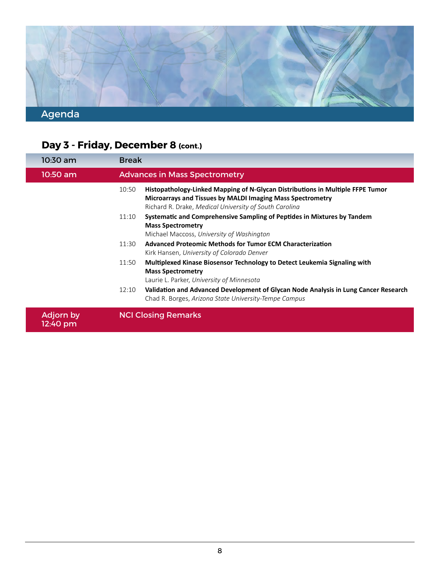

# Day 3 - Friday, December 8 (cont.)

| 10:30 am                     | <b>Break</b>                                                                                                                                                                                                    |
|------------------------------|-----------------------------------------------------------------------------------------------------------------------------------------------------------------------------------------------------------------|
| 10:50 am                     | <b>Advances in Mass Spectrometry</b>                                                                                                                                                                            |
|                              | Histopathology-Linked Mapping of N-Glycan Distributions in Multiple FFPE Tumor<br>10:50<br>Microarrays and Tissues by MALDI Imaging Mass Spectrometry<br>Richard R. Drake, Medical University of South Carolina |
|                              | Systematic and Comprehensive Sampling of Peptides in Mixtures by Tandem<br>11:10<br><b>Mass Spectrometry</b><br>Michael Maccoss, University of Washington                                                       |
|                              | Advanced Proteomic Methods for Tumor ECM Characterization<br>11:30<br>Kirk Hansen, University of Colorado Denver                                                                                                |
|                              | Multiplexed Kinase Biosensor Technology to Detect Leukemia Signaling with<br>11:50<br><b>Mass Spectrometry</b><br>Laurie L. Parker, University of Minnesota                                                     |
|                              | Validation and Advanced Development of Glycan Node Analysis in Lung Cancer Research<br>12:10<br>Chad R. Borges, Arizona State University-Tempe Campus                                                           |
| <b>Adjorn by</b><br>12:40 pm | <b>NCI Closing Remarks</b>                                                                                                                                                                                      |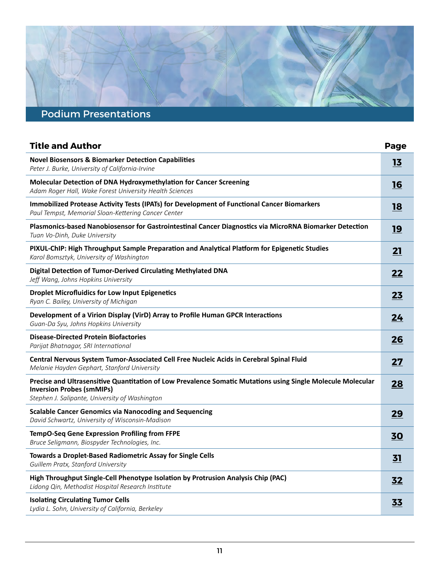# <span id="page-9-0"></span>Podium Presentations

| <b>Title and Author</b>                                                                                                                                                                           | Page      |
|---------------------------------------------------------------------------------------------------------------------------------------------------------------------------------------------------|-----------|
| <b>Novel Biosensors &amp; Biomarker Detection Capabilities</b><br>Peter J. Burke, University of California-Irvine                                                                                 | 13        |
| Molecular Detection of DNA Hydroxymethylation for Cancer Screening<br>Adam Roger Hall, Wake Forest University Health Sciences                                                                     | 16        |
| Immobilized Protease Activity Tests (IPATs) for Development of Functional Cancer Biomarkers<br>Paul Tempst, Memorial Sloan-Kettering Cancer Center                                                | <b>18</b> |
| Plasmonics-based Nanobiosensor for Gastrointestinal Cancer Diagnostics via MicroRNA Biomarker Detection<br>Tuan Vo-Dinh, Duke University                                                          | 19        |
| PIXUL-ChIP: High Throughput Sample Preparation and Analytical Platform for Epigenetic Studies<br>Karol Bomsztyk, University of Washington                                                         | 21        |
| Digital Detection of Tumor-Derived Circulating Methylated DNA<br>Jeff Wang, Johns Hopkins University                                                                                              | 22        |
| <b>Droplet Microfluidics for Low Input Epigenetics</b><br>Ryan C. Bailey, University of Michigan                                                                                                  | 23        |
| Development of a Virion Display (VirD) Array to Profile Human GPCR Interactions<br>Guan-Da Syu, Johns Hopkins University                                                                          | 24        |
| <b>Disease-Directed Protein Biofactories</b><br>Parijat Bhatnagar, SRI International                                                                                                              | 26        |
| Central Nervous System Tumor-Associated Cell Free Nucleic Acids in Cerebral Spinal Fluid<br>Melanie Hayden Gephart, Stanford University                                                           | 27        |
| Precise and Ultrasensitive Quantitation of Low Prevalence Somatic Mutations using Single Molecule Molecular<br><b>Inversion Probes (smMIPs)</b><br>Stephen J. Salipante, University of Washington | 28        |
| <b>Scalable Cancer Genomics via Nanocoding and Sequencing</b><br>David Schwartz, University of Wisconsin-Madison                                                                                  | 29        |
| <b>TempO-Seq Gene Expression Profiling from FFPE</b><br>Bruce Seligmann, Biospyder Technologies, Inc.                                                                                             | 30        |
| Towards a Droplet-Based Radiometric Assay for Single Cells<br>Guillem Pratx, Stanford University                                                                                                  | 31        |
| High Throughput Single-Cell Phenotype Isolation by Protrusion Analysis Chip (PAC)<br>Lidong Qin, Methodist Hospital Research Institute                                                            | 32        |
| <b>Isolating Circulating Tumor Cells</b><br>Lydia L. Sohn, University of California, Berkeley                                                                                                     | 33        |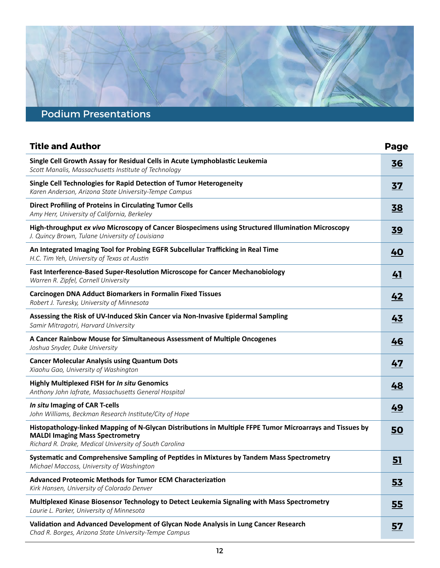# Podium Presentations

| <b>Title and Author</b>                                                                                                                                                                                       | Page      |
|---------------------------------------------------------------------------------------------------------------------------------------------------------------------------------------------------------------|-----------|
| Single Cell Growth Assay for Residual Cells in Acute Lymphoblastic Leukemia<br>Scott Manalis, Massachusetts Institute of Technology                                                                           | 36        |
| Single Cell Technologies for Rapid Detection of Tumor Heterogeneity<br>Karen Anderson, Arizona State University-Tempe Campus                                                                                  | <u>37</u> |
| <b>Direct Profiling of Proteins in Circulating Tumor Cells</b><br>Amy Herr, University of California, Berkeley                                                                                                | 38        |
| High-throughput ex vivo Microscopy of Cancer Biospecimens using Structured Illumination Microscopy<br>J. Quincy Brown, Tulane University of Louisiana                                                         | 39        |
| An Integrated Imaging Tool for Probing EGFR Subcellular Trafficking in Real Time<br>H.C. Tim Yeh, University of Texas at Austin                                                                               | 40        |
| Fast Interference-Based Super-Resolution Microscope for Cancer Mechanobiology<br>Warren R. Zipfel, Cornell University                                                                                         | 41        |
| <b>Carcinogen DNA Adduct Biomarkers in Formalin Fixed Tissues</b><br>Robert J. Turesky, University of Minnesota                                                                                               | 42        |
| Assessing the Risk of UV-Induced Skin Cancer via Non-Invasive Epidermal Sampling<br>Samir Mitragotri, Harvard University                                                                                      | 43        |
| A Cancer Rainbow Mouse for Simultaneous Assessment of Multiple Oncogenes<br>Joshua Snyder, Duke University                                                                                                    | 46        |
| <b>Cancer Molecular Analysis using Quantum Dots</b><br>Xiaohu Gao, University of Washington                                                                                                                   | 47        |
| <b>Highly Multiplexed FISH for In situ Genomics</b><br>Anthony John Iafrate, Massachusetts General Hospital                                                                                                   | 48        |
| In situ Imaging of CAR T-cells<br>John Williams, Beckman Research Institute/City of Hope                                                                                                                      | 49        |
| Histopathology-linked Mapping of N-Glycan Distributions in Multiple FFPE Tumor Microarrays and Tissues by<br><b>MALDI Imaging Mass Spectrometry</b><br>Richard R. Drake, Medical University of South Carolina | 50        |
| Systematic and Comprehensive Sampling of Peptides in Mixtures by Tandem Mass Spectrometry<br>Michael Maccoss, University of Washington                                                                        | 51        |
| <b>Advanced Proteomic Methods for Tumor ECM Characterization</b><br>Kirk Hansen, University of Colorado Denver                                                                                                | 53        |
| Multiplexed Kinase Biosensor Technology to Detect Leukemia Signaling with Mass Spectrometry<br>Laurie L. Parker, University of Minnesota                                                                      | 55        |
| Validation and Advanced Development of Glycan Node Analysis in Lung Cancer Research<br>Chad R. Borges, Arizona State University-Tempe Campus                                                                  | <u>57</u> |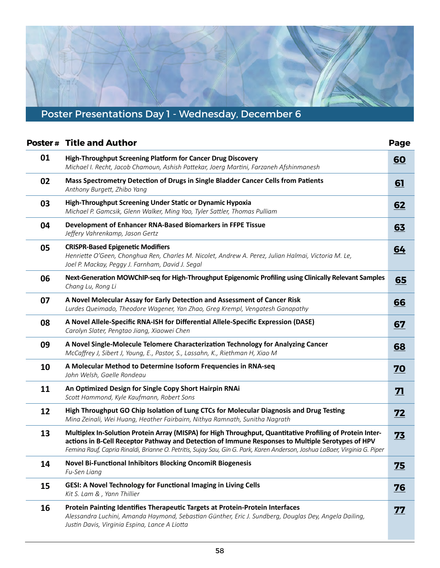# <span id="page-11-0"></span>Poster Presentations Day 1 - Wednesday, December 6

|    | <b>Poster # Title and Author</b>                                                                                                                                                                                                                                                                                                             | Page      |
|----|----------------------------------------------------------------------------------------------------------------------------------------------------------------------------------------------------------------------------------------------------------------------------------------------------------------------------------------------|-----------|
| 01 | <b>High-Throughput Screening Platform for Cancer Drug Discovery</b><br>Michael I. Recht, Jacob Chamoun, Ashish Pattekar, Joerg Martini, Farzaneh Afshinmanesh                                                                                                                                                                                | 60        |
| 02 | Mass Spectrometry Detection of Drugs in Single Bladder Cancer Cells from Patients<br>Anthony Burgett, Zhibo Yang                                                                                                                                                                                                                             | 61        |
| 03 | High-Throughput Screening Under Static or Dynamic Hypoxia<br>Michael P. Gamcsik, Glenn Walker, Ming Yao, Tyler Sattler, Thomas Pulliam                                                                                                                                                                                                       | 62        |
| 04 | Development of Enhancer RNA-Based Biomarkers in FFPE Tissue<br>Jeffery Vahrenkamp, Jason Gertz                                                                                                                                                                                                                                               | 63        |
| 05 | <b>CRISPR-Based Epigenetic Modifiers</b><br>Henriette O'Geen, Chonghua Ren, Charles M. Nicolet, Andrew A. Perez, Julian Halmai, Victoria M. Le,<br>Joel P. Mackay, Peggy J. Farnham, David J. Segal                                                                                                                                          | 64        |
| 06 | Next-Generation MOWChIP-seq for High-Throughput Epigenomic Profiling using Clinically Relevant Samples<br>Chang Lu, Rong Li                                                                                                                                                                                                                  | 65        |
| 07 | A Novel Molecular Assay for Early Detection and Assessment of Cancer Risk<br>Lurdes Queimado, Theodore Wagener, Yan Zhao, Greg Krempl, Vengatesh Ganapathy                                                                                                                                                                                   | 66        |
| 08 | A Novel Allele-Specific RNA-ISH for Differential Allele-Specific Expression (DASE)<br>Carolyn Slater, Pengtao Jiang, Xiaowei Chen                                                                                                                                                                                                            | 67        |
| 09 | A Novel Single-Molecule Telomere Characterization Technology for Analyzing Cancer<br>McCaffrey J, Sibert J, Young, E., Pastor, S., Lassahn, K., Riethman H, Xiao M                                                                                                                                                                           | 68        |
| 10 | A Molecular Method to Determine Isoform Frequencies in RNA-seq<br>John Welsh, Gaelle Rondeau                                                                                                                                                                                                                                                 | <u>70</u> |
| 11 | An Optimized Design for Single Copy Short Hairpin RNAi<br>Scott Hammond, Kyle Kaufmann, Robert Sons                                                                                                                                                                                                                                          | <u>71</u> |
| 12 | High Throughput GO Chip Isolation of Lung CTCs for Molecular Diagnosis and Drug Testing<br>Mina Zeinali, Wei Huang, Heather Fairbairn, Nithya Ramnath, Sunitha Nagrath                                                                                                                                                                       | 72        |
| 13 | Multiplex In-Solution Protein Array (MISPA) for High Throughput, Quantitative Profiling of Protein Inter-<br>actions in B-Cell Receptor Pathway and Detection of Immune Responses to Multiple Serotypes of HPV<br>Femina Rauf, Capria Rinaldi, Brianne O. Petritis, Sujay Sau, Gin G. Park, Karen Anderson, Joshua LaBaer, Virginia G. Piper | 73        |
| 14 | <b>Novel Bi-Functional Inhibitors Blocking OncomiR Biogenesis</b><br>Fu-Sen Liang                                                                                                                                                                                                                                                            | 75        |
| 15 | GESI: A Novel Technology for Functional Imaging in Living Cells<br>Kit S. Lam & , Yann Thillier                                                                                                                                                                                                                                              | <u>76</u> |
| 16 | Protein Painting Identifies Therapeutic Targets at Protein-Protein Interfaces<br>Alessandra Luchini, Amanda Haymond, Sebastian Günther, Eric J. Sundberg, Douglas Dey, Angela Dailing,<br>Justin Davis, Virginia Espina, Lance A Liotta                                                                                                      | <u>77</u> |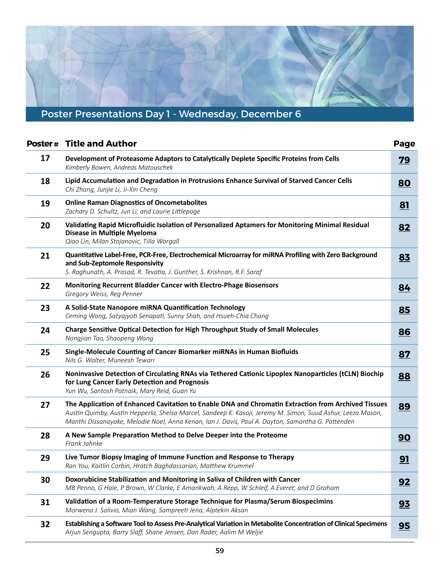# Poster Presentations Day 1 - Wednesday, December 6

|    | <b>Poster# Title and Author</b>                                                                                                                                                                                                                                                                                         | Page      |
|----|-------------------------------------------------------------------------------------------------------------------------------------------------------------------------------------------------------------------------------------------------------------------------------------------------------------------------|-----------|
| 17 | Development of Proteasome Adaptors to Catalytically Deplete Specific Proteins from Cells<br>Kimberly Bowen, Andreas Matouschek                                                                                                                                                                                          | <b>79</b> |
| 18 | Lipid Accumulation and Degradation in Protrusions Enhance Survival of Starved Cancer Cells<br>Chi Zhang, Junjie Li, Ji-Xin Cheng                                                                                                                                                                                        | <b>80</b> |
| 19 | <b>Online Raman Diagnostics of Oncometabolites</b><br>Zachary D. Schultz, Jun Li, and Laurie Littlepage                                                                                                                                                                                                                 | 81        |
| 20 | Validating Rapid Microfluidic Isolation of Personalized Aptamers for Monitoring Minimal Residual<br>Disease in Multiple Myeloma<br>Qiao Lin, Milan Stojanovic, Tilla Worgall                                                                                                                                            | 82        |
| 21 | Quantitative Label-Free, PCR-Free, Electrochemical Microarray for miRNA Profiling with Zero Background<br>and Sub-Zeptomole Responsivity<br>S. Raghunath, A. Prasad, R. Tevatia, J. Gunther, S. Krishnan, R.F. Saraf                                                                                                    | 83        |
| 22 | Monitoring Recurrent Bladder Cancer with Electro-Phage Biosensors<br>Gregory Weiss, Reg Penner                                                                                                                                                                                                                          | 84        |
| 23 | A Solid-State Nanopore miRNA Quantification Technology<br>Ceming Wang, Satyajyoti Senapati, Sunny Shah, and Hsueh-Chia Chang                                                                                                                                                                                            | 85        |
| 24 | Charge Sensitive Optical Detection for High Throughput Study of Small Molecules<br>Nongjian Tao, Shaopeng Wang                                                                                                                                                                                                          | 86        |
| 25 | Single-Molecule Counting of Cancer Biomarker miRNAs in Human Biofluids<br>Nils G. Walter, Muneesh Tewari                                                                                                                                                                                                                | 87        |
| 26 | Noninvasive Detection of Circulating RNAs via Tethered Cationic Lipoplex Nanoparticles (tCLN) Biochip<br>for Lung Cancer Early Detection and Prognosis<br>Yun Wu, Santosh Patnaik, Mary Reid, Guan Yu                                                                                                                   | 88        |
| 27 | The Application of Enhanced Cavitation to Enable DNA and Chromatin Extraction from Archived Tissues<br>Austin Quimby, Austin Hepperla, Shelsa Marcel, Sandeep K. Kasoji, Jeremy M. Simon, Suud Ashur, Leeza Mason,<br>Manthi Dissanayake, Melodie Noel, Anna Kenan, Ian J. Davis, Paul A. Dayton, Samantha G. Pattenden | 89        |
| 28 | A New Sample Preparation Method to Delve Deeper into the Proteome<br>Frank Jahnke                                                                                                                                                                                                                                       | 90        |
| 29 | Live Tumor Biopsy Imaging of Immune Function and Response to Therapy<br>Ran You, Kaitlin Corbin, Hratch Baghdassarian, Matthew Krummel                                                                                                                                                                                  | 91        |
| 30 | Doxorubicine Stabilization and Monitoring in Saliva of Children with Cancer<br>MB Penno, G Hale, P Brown, W Clarke, E Amankwah, A Repp, W Schleif, A Everet, and D Graham                                                                                                                                               | 92        |
| 31 | Validation of a Room-Temperature Storage Technique for Plasma/Serum Biospecimins<br>Morwena J. Solivio, Mian Wang, Sampreeti Jena, Alptekin Aksan                                                                                                                                                                       | 93        |
| 32 | Establishing a Software Tool to Assess Pre-Analytical Variation in Metabolite Concentration of Clinical Specimens<br>Arjun Sengupta, Barry Slaff, Shane Jensen, Dan Rader, Aalim M Weljie                                                                                                                               | 95        |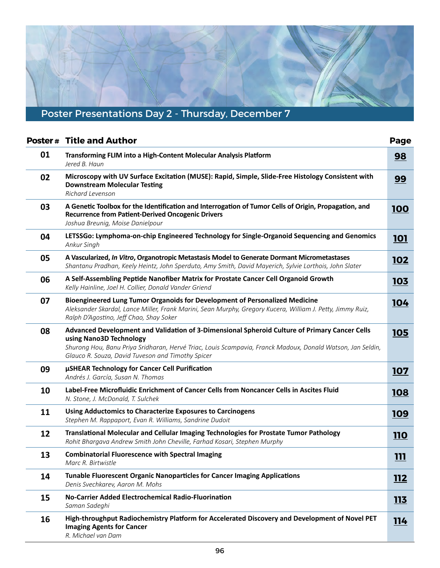# <span id="page-13-0"></span>Poster Presentations Day 2 - Thursday, December 7

|    | <b>Poster # Title and Author</b>                                                                                                                                                                                                                                                            | Page        |
|----|---------------------------------------------------------------------------------------------------------------------------------------------------------------------------------------------------------------------------------------------------------------------------------------------|-------------|
| 01 | Transforming FLIM into a High-Content Molecular Analysis Platform<br>Jered B. Haun                                                                                                                                                                                                          | <u>98</u>   |
| 02 | Microscopy with UV Surface Excitation (MUSE): Rapid, Simple, Slide-Free Histology Consistent with<br><b>Downstream Molecular Testing</b><br>Richard Levenson                                                                                                                                | 99          |
| 03 | A Genetic Toolbox for the Identification and Interrogation of Tumor Cells of Origin, Propagation, and<br><b>Recurrence from Patient-Derived Oncogenic Drivers</b><br>Joshua Breunig, Moise Danielpour                                                                                       | <u>100</u>  |
| 04 | LETSSGo: Lymphoma-on-chip Engineered Technology for Single-Organoid Sequencing and Genomics<br>Ankur Singh                                                                                                                                                                                  | <u>101</u>  |
| 05 | A Vascularized, In Vitro, Organotropic Metastasis Model to Generate Dormant Micrometastases<br>Shantanu Pradhan, Keely Heintz, John Sperduto, Amy Smith, David Mayerich, Sylvie Lorthois, John Slater                                                                                       | <u> 102</u> |
| 06 | A Self-Assembling Peptide Nanofiber Matrix for Prostate Cancer Cell Organoid Growth<br>Kelly Hainline, Joel H. Collier, Donald Vander Griend                                                                                                                                                | <u>103</u>  |
| 07 | Bioengineered Lung Tumor Organoids for Development of Personalized Medicine<br>Aleksander Skardal, Lance Miller, Frank Marini, Sean Murphy, Gregory Kucera, William J. Petty, Jimmy Ruiz,<br>Ralph D'Agostino, Jeff Chao, Shay Soker                                                        | <b>104</b>  |
| 08 | Advanced Development and Validation of 3-Dimensional Spheroid Culture of Primary Cancer Cells<br>using Nano3D Technology<br>Shurong Hou, Banu Priya Sridharan, Hervé Triac, Louis Scampavia, Franck Madoux, Donald Watson, Jan Seldin,<br>Glauco R. Souza, David Tuveson and Timothy Spicer | <u>105</u>  |
| 09 | µSHEAR Technology for Cancer Cell Purification<br>Andrés J. García, Susan N. Thomas                                                                                                                                                                                                         | 107         |
| 10 | Label-Free Microfluidic Enrichment of Cancer Cells from Noncancer Cells in Ascites Fluid<br>N. Stone, J. McDonald, T. Sulchek                                                                                                                                                               | <u>108</u>  |
| 11 | <b>Using Adductomics to Characterize Exposures to Carcinogens</b><br>Stephen M. Rappaport, Evan R. Williams, Sandrine Dudoit                                                                                                                                                                | 109         |
| 12 | Translational Molecular and Cellular Imaging Technologies for Prostate Tumor Pathology<br>Rohit Bhargava Andrew Smith John Cheville, Farhad Kosari, Stephen Murphy                                                                                                                          | <b>110</b>  |
| 13 | <b>Combinatorial Fluorescence with Spectral Imaging</b><br>Marc R. Birtwistle                                                                                                                                                                                                               | <u>111</u>  |
| 14 | <b>Tunable Fluorescent Organic Nanoparticles for Cancer Imaging Applications</b><br>Denis Svechkarev, Aaron M. Mohs                                                                                                                                                                         | <b>112</b>  |
| 15 | No-Carrier Added Electrochemical Radio-Fluorination<br>Saman Sadeghi                                                                                                                                                                                                                        | <u>113</u>  |
| 16 | High-throughput Radiochemistry Platform for Accelerated Discovery and Development of Novel PET<br><b>Imaging Agents for Cancer</b><br>R. Michael van Dam                                                                                                                                    | <u>114</u>  |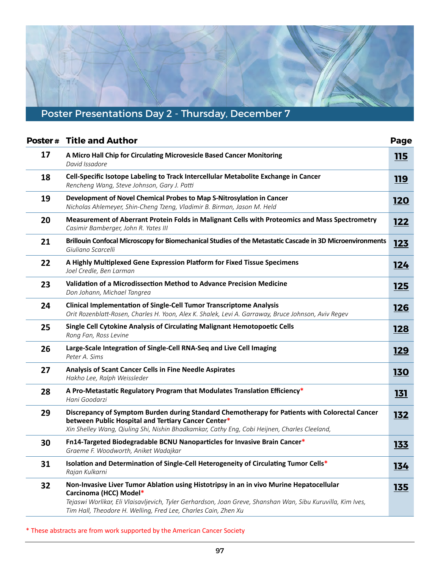# Poster Presentations Day 2 - Thursday, December 7

Ħ

|    | <b>Poster # Title and Author</b>                                                                                                                                                                                                                                                                   | Page        |
|----|----------------------------------------------------------------------------------------------------------------------------------------------------------------------------------------------------------------------------------------------------------------------------------------------------|-------------|
| 17 | A Micro Hall Chip for Circulating Microvesicle Based Cancer Monitoring<br>David Issadore                                                                                                                                                                                                           | <u> 115</u> |
| 18 | Cell-Specific Isotope Labeling to Track Intercellular Metabolite Exchange in Cancer<br>Rencheng Wang, Steve Johnson, Gary J. Patti                                                                                                                                                                 | <b>119</b>  |
| 19 | Development of Novel Chemical Probes to Map S-Nitrosylation in Cancer<br>Nicholas Ahlemeyer, Shin-Cheng Tzeng, Vladimir B. Birman, Jason M. Held                                                                                                                                                   | <b>120</b>  |
| 20 | Measurement of Aberrant Protein Folds in Malignant Cells with Proteomics and Mass Spectrometry<br>Casimir Bamberger, John R. Yates III                                                                                                                                                             | <u>122</u>  |
| 21 | Brillouin Confocal Microscopy for Biomechanical Studies of the Metastatic Cascade in 3D Microenvironments<br>Giuliano Scarcelli                                                                                                                                                                    | <u>123</u>  |
| 22 | A Highly Multiplexed Gene Expression Platform for Fixed Tissue Specimens<br>Joel Credle, Ben Larman                                                                                                                                                                                                | <u> 124</u> |
| 23 | Validation of a Microdissection Method to Advance Precision Medicine<br>Don Johann, Michael Tangrea                                                                                                                                                                                                | <u>125</u>  |
| 24 | <b>Clinical Implementation of Single-Cell Tumor Transcriptome Analysis</b><br>Orit Rozenblatt-Rosen, Charles H. Yoon, Alex K. Shalek, Levi A. Garraway, Bruce Johnson, Aviv Regev                                                                                                                  | <u>126</u>  |
| 25 | Single Cell Cytokine Analysis of Circulating Malignant Hemotopoetic Cells<br>Rong Fan, Ross Levine                                                                                                                                                                                                 | <u>128</u>  |
| 26 | Large-Scale Integration of Single-Cell RNA-Seq and Live Cell Imaging<br>Peter A. Sims                                                                                                                                                                                                              | <u> 129</u> |
| 27 | <b>Analysis of Scant Cancer Cells in Fine Needle Aspirates</b><br>Hakho Lee, Ralph Weissleder                                                                                                                                                                                                      | <b>130</b>  |
| 28 | A Pro-Metastatic Regulatory Program that Modulates Translation Efficiency*<br>Hani Goodarzi                                                                                                                                                                                                        | <u>131</u>  |
| 29 | Discrepancy of Symptom Burden during Standard Chemotherapy for Patients with Colorectal Cancer<br>between Public Hospital and Tertiary Cancer Center*<br>Xin Shelley Wang, Qiuling Shi, Nishin Bhadkamkar, Cathy Eng, Cobi Heijnen, Charles Cleeland,                                              | <u>132</u>  |
| 30 | Fn14-Targeted Biodegradable BCNU Nanoparticles for Invasive Brain Cancer*<br>Graeme F. Woodworth, Aniket Wadajkar                                                                                                                                                                                  | 133         |
| 31 | Isolation and Determination of Single-Cell Heterogeneity of Circulating Tumor Cells*<br>Rajan Kulkarni                                                                                                                                                                                             | 134         |
| 32 | Non-Invasive Liver Tumor Ablation using Histotripsy in an in vivo Murine Hepatocellular<br>Carcinoma (HCC) Model*<br>Tejaswi Worlikar, Eli Vlaisavljevich, Tyler Gerhardson, Joan Greve, Shanshan Wan, Sibu Kuruvilla, Kim Ives,<br>Tim Hall, Theodore H. Welling, Fred Lee, Charles Cain, Zhen Xu | <u>135</u>  |

\* These abstracts are from work supported by the American Cancer Society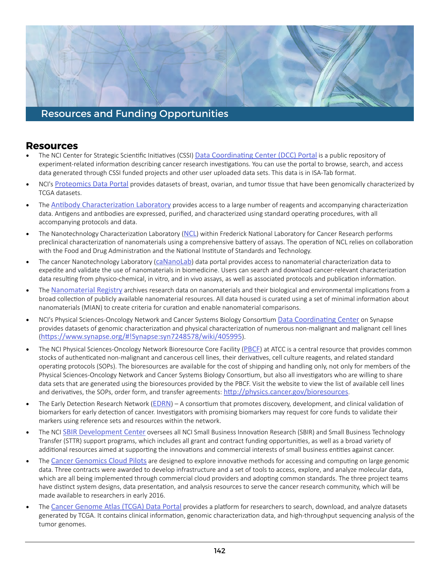### <span id="page-15-0"></span>**Resources**

- The NCI Center for Strategic Scientific Initiatives (CSSI) **Data Coordinating Center (DCC) Portal** is a public repository of experiment-related informaton describing cancer research investgatons. You can use the portal to browse, search, and access data generated through CSSI funded projects and other user uploaded data sets. This data is in ISA-Tab format.
- NCI's [Proteomics Data Portal](https://cptac-data-portal.georgetown.edu/cptacPublic/) provides datasets of breast, ovarian, and tumor tissue that have been genomically characterized by TCGA datasets.
- The **Antibody Characterization Laboratory** provides access to a large number of reagents and accompanying characterization data. Antigens and antibodies are expressed, purified, and characterized using standard operating procedures, with all accompanying protocols and data.
- The Nanotechnology Characterization Laboratory ([NCL](https://ncl.cancer.gov/)) within Frederick National Laboratory for Cancer Research performs preclinical characterization of nanomaterials using a comprehensive battery of assays. The operation of NCL relies on collaboration with the Food and Drug Administraton and the Natonal Insttute of Standards and Technology.
- The cancer Nanotechnology Laboratory ([caNanoLab](https://cananolab.nci.nih.gov/caNanoLab/#/)) data portal provides access to nanomaterial characterization data to expedite and validate the use of nanomaterials in biomedicine. Users can search and download cancer-relevant characterizaton data resultng from physico-chemical, in vitro, and in vivo assays, as well as associated protocols and publicaton informaton.
- The **[Nanomaterial Registry](https://www.nanomaterialregistry.org/)** archives research data on nanomaterials and their biological and environmental implications from a broad collecton of publicly available nanomaterial resources. All data housed is curated using a set of minimal informaton about nanomaterials (MIAN) to create criteria for curaton and enable nanomaterial comparisons.
- NCI's Physical Sciences-Oncology Network and Cancer Systems Biology Consortium **Data Coordinating Center** on Synapse provides datasets of genomic characterizaton and physical characterizaton of numerous non-malignant and malignant cell lines ([htps://www.synapse.org/#!Synapse:syn7248578/wiki/405995](https://www.synapse.org/#!Synapse:syn7248578/wiki/405995)).
- The NCI Physical Sciences-Oncology Network Bioresource Core Facility ([PBCF](https://physics.cancer.gov/bioresources/)) at ATCC is a central resource that provides common stocks of authentcated non-malignant and cancerous cell lines, their derivatves, cell culture reagents, and related standard operatng protocols (SOPs). The bioresources are available for the cost of shipping and handling only, not only for members of the Physical Sciences-Oncology Network and Cancer Systems Biology Consortum, but also all investgators who are willing to share and derivatives, the SOPs, order form, and transfer agreements: http://physics.cancer.gov/bioresources. data sets that are generated using the bioresources provided by the PBCF. Visit the website to view the list of available cell lines
- The Early Detection Research Network ([EDRN](https://edrn.nci.nih.gov/)) A consortium that promotes discovery, development, and clinical validation of biomarkers for early detection of cancer. Investigators with promising biomarkers may request for core funds to validate their markers using reference sets and resources within the network.
- The NCI [SBIR Development Center](http://sbir.cancer.gov/) oversees all NCI Small Business Innovation Research (SBIR) and Small Business Technology Transfer (STTR) support programs, which includes all grant and contract funding opportunites, as well as a broad variety of additional resources aimed at supporting the innovations and commercial interests of small business entities against cancer.
- The [Cancer Genomics Cloud Pilots](http://cbiit.nci.nih.gov/cloudpilots) are designed to explore innovative methods for accessing and computing on large genomic which are all being implemented through commercial cloud providers and adoptng common standards. The three project teams have distnct system designs, data presentaton, and analysis resources to serve the cancer research community, which will be data. Three contracts were awarded to develop infrastructure and a set of tools to access, explore, and analyze molecular data, made available to researchers in early 2016.
- The [Cancer Genome Atlas \(TCGA\) Data Portal](https://portal.gdc.cancer.gov/) provides a platform for researchers to search, download, and analyze datasets generated by TCGA. It contains clinical informaton, genomic characterizaton data, and high-throughput sequencing analysis of the tumor genomes.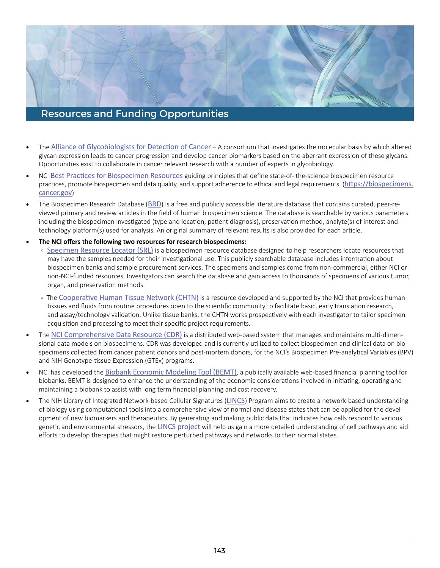- The **Alliance of Glycobiologists for Detection of Cancer** A consortium that investigates the molecular basis by which altered Opportunites exist to collaborate in cancer relevant research with a number of experts in glycobiology. glycan expression leads to cancer progression and develop cancer biomarkers based on the aberrant expression of these glycans.
- NCI Best Practices for Biospecimen Resources guiding principles that define state-of-the-science biospecimen resource practices, promote biospecimen and data quality, and support adherence to ethical and legal requirements. (https://biospecimens. [cancer.gov](https://biospecimens.cancer.gov))
- The Biospecimen Research Database ([BRD](https://brd.nci.nih.gov/brd/)) is a free and publicly accessible literature database that contains curated, peer-re- viewed primary and review artcles in the feld of human biospecimen science. The database is searchable by various parameters including the biospecimen investigated (type and location, patient diagnosis), preservation method, analyte(s) of interest and technology platform(s) used for analysis. An original summary of relevant results is also provided for each article.
- **The NCI ofers the following two resources for research biospecimens:**
	- **[Specimen Resource Locator \(SRL\)](https://specimens.cancer.gov/)** is a biospecimen resource database designed to help researchers locate resources that may have the samples needed for their investigational use. This publicly searchable database includes information about non-NCI-funded resources. Investgators can search the database and gain access to thousands of specimens of various tumor, organ, and preservation methods. biospecimen banks and sample procurement services. The specimens and samples come from non-commercial, either NCI or
	- The Cooperative Human Tissue Network (CHTN) is a resource developed and supported by the NCI that provides human tissues and fluids from routine procedures open to the scientific community to facilitate basic, early translation research, and assay/technology validation. Unlike tissue banks, the CHTN works prospectively with each investigator to tailor specimen acquisiton and processing to meet their specifc project requirements.
- The [NCI Comprehensive Data Resource \(CDR\)](https://ttc.nci.nih.gov/opportunities/opportunity.php?opp_id=748093754466223) is a distributed web-based system that manages and maintains multi-dimen- sional data models on biospecimens. CDR was developed and is currently utlized to collect biospecimen and clinical data on bio- specimens collected from cancer patent donors and post-mortem donors, for the NCI's Biospecimen Pre-analytcal Variables (BPV) and NIH Genotype-tssue Expression (GTEx) programs.
- NCI has developed the **[Biobank Economic Modeling Tool \(BEMT\)](http://biospecimens.cancer.gov/resources/bemt.asp)**, a publically available web-based financial planning tool for biobanks. BEMT is designed to enhance the understanding of the economic considerations involved in initiating, operating and maintaining a biobank to assist with long term fnancial planning and cost recovery.
- The NIH Library of Integrated Network-based Cellular Signatures ([LINCS](http://www.lincsproject.org/)) Program aims to create a network-based understanding of biology using computatonal tools into a comprehensive view of normal and disease states that can be applied for the development of new biomarkers and therapeutics. By generating and making public data that indicates how cells respond to various genetic and environmental stressors, the [LINCS project](http://www.lincsproject.org/about/) will help us gain a more detailed understanding of cell pathways and aid eforts to develop therapies that might restore perturbed pathways and networks to their normal states.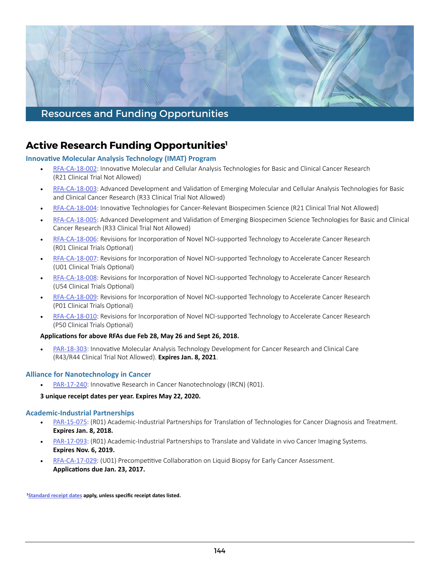

# **Active Research Funding Opportunities1**

**Innovative Molecular Analysis Technology (IMAT) Program** 

- [RFA-CA-18-002](http://grants.nih.gov/grants/guide/rfa-files/RFA-CA-18-002.html): Innovative Molecular and Cellular Analysis Technologies for Basic and Clinical Cancer Research (R21 Clinical Trial Not Allowed)
- [RFA-CA-18-003](http://grants.nih.gov/grants/guide/rfa-files/RFA-CA-18-003.html): Advanced Development and Validation of Emerging Molecular and Cellular Analysis Technologies for Basic and Clinical Cancer Research (R33 Clinical Trial Not Allowed)
- [RFA-CA-18-004](http://grants.nih.gov/grants/guide/rfa-files/RFA-CA-18-004.html): Innovative Technologies for Cancer-Relevant Biospecimen Science (R21 Clinical Trial Not Allowed)
- [RFA-CA-18-005](http://grants.nih.gov/grants/guide/rfa-files/RFA-CA-18-005.html): Advanced Development and Validation of Emerging Biospecimen Science Technologies for Basic and Clinical Cancer Research (R33 Clinical Trial Not Allowed)
- [RFA-CA-18-006](http://grants.nih.gov/grants/guide/rfa-files/RFA-CA-18-006.html): Revisions for Incorporation of Novel NCI-supported Technology to Accelerate Cancer Research (R01 Clinical Trials Optional)
- [RFA-CA-18-007](http://grants.nih.gov/grants/guide/rfa-files/RFA-CA-18-007.html): Revisions for Incorporation of Novel NCI-supported Technology to Accelerate Cancer Research (U01 Clinical Trials Optional)
- [RFA-CA-18-008](http://grants.nih.gov/grants/guide/rfa-files/RFA-CA-18-008.html): Revisions for Incorporation of Novel NCI-supported Technology to Accelerate Cancer Research (U54 Clinical Trials Optional)
- [RFA-CA-18-009](http://grants.nih.gov/grants/guide/rfa-files/RFA-CA-18-009.html): Revisions for Incorporation of Novel NCI-supported Technology to Accelerate Cancer Research (P01 Clinical Trials Optional)
- [RFA-CA-18-010](http://grants.nih.gov/grants/guide/rfa-files/RFA-CA-18-010.html): Revisions for Incorporation of Novel NCI-supported Technology to Accelerate Cancer Research (P50 Clinical Trials Optional)

### **Applicatons for above RFAs due Feb 28, May 26 and Sept 26, 2018.**

• [PAR-18-303](http://grants.nih.gov/grants/guide/pa-files/PAR-18-303.html): Innovative Molecular Analysis Technology Development for Cancer Research and Clinical Care (R43/R44 Clinical Trial Not Allowed). **Expires Jan. 8, 2021**.

### **Alliance for Nanotechnology in Cancer**

• [PAR-17-240](http://grants.nih.gov/grants/guide/pa-files/PAR-17-240.html): Innovative Research in Cancer Nanotechnology (IRCN) (R01).

### **3 unique receipt dates per year. Expires May 22, 2020.**

### **Academic-Industrial Partnerships**

- [PAR-15-075](http://grants.nih.gov/grants/guide/pa-files/PAR-15-075.html): (R01) Academic-Industrial Partnerships for Translation of Technologies for Cancer Diagnosis and Treatment. **Expires Jan. 8, 2018.**
- [PAR-17-093](http://grants.nih.gov/grants/guide/pa-files/PAR-17-093.html): (R01) Academic-Industrial Partnerships to Translate and Validate in vivo Cancer Imaging Systems. **Expires Nov. 6, 2019.**
- [RFA-CA-17-029](https://grants.nih.gov/grants/guide/rfa-files/RFA-CA-17-029.html): (U01) Precompetitive Collaboration on Liquid Biopsy for Early Cancer Assessment. **Applicatons due Jan. 23, 2017.**

 **[1Standard receipt dates](http://grants.nih.gov/grants/funding/submissionschedule.htm) apply, unless specifc receipt dates listed.**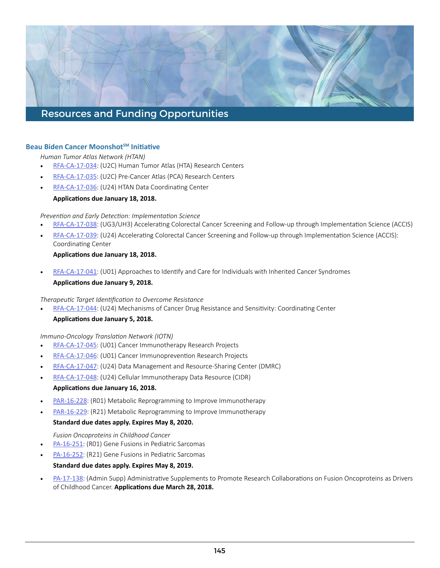### **Beau Biden Cancer Moonshot<sup>SM</sup> Initiative**

*Human Tumor Atlas Network (HTAN)* 

- [RFA-CA-17-034](http://grants.nih.gov/grants/guide/rfa-files/RFA-CA-17-034.html): (U2C) Human Tumor Atlas (HTA) Research Centers
- [RFA-CA-17-035](http://grants.nih.gov/grants/guide/rfa-files/RFA-CA-17-035.html): (U2C) Pre-Cancer Atlas (PCA) Research Centers
- [RFA-CA-17-036](http://grants.nih.gov/grants/guide/rfa-files/RFA-CA-17-036.html): (U24) HTAN Data Coordinating Center

### **Applicatons due January 18, 2018.**

### *Preventon and Early Detecton: Implementaton Science*

- [RFA-CA-17-038](http://grants.nih.gov/grants/guide/rfa-files/RFA-CA-17-038.html): (UG3/UH3) Accelerating Colorectal Cancer Screening and Follow-up through Implementation Science (ACCIS)
- [RFA-CA-17-039](http://grants.nih.gov/grants/guide/rfa-files/RFA-CA-17-039.html): (U24) Accelerating Colorectal Cancer Screening and Follow-up through Implementation Science (ACCIS): Coordinating Center

### **Applicatons due January 18, 2018.**

• [RFA-CA-17-041](http://grants.nih.gov/grants/guide/rfa-files/RFA-CA-17-041.html): (U01) Approaches to Identify and Care for Individuals with Inherited Cancer Syndromes

### **Applicatons due January 9, 2018.**

### **Therapeutic Target Identification to Overcome Resistance**

• [RFA-CA-17-044](http://grants.nih.gov/grants/guide/rfa-files/RFA-CA-17-044.html): (U24) Mechanisms of Cancer Drug Resistance and Sensitivity: Coordinating Center

### **Applicatons due January 5, 2018.**

### *Immuno-Oncology Translaton Network (IOTN)*

- [RFA-CA-17-045](http://grants.nih.gov/grants/guide/rfa-files/RFA-CA-17-045.html): (U01) Cancer Immunotherapy Research Projects
- [RFA-CA-17-046](http://grants.nih.gov/grants/guide/rfa-files/RFA-CA-17-046.html): (U01) Cancer Immunoprevention Research Projects
- [RFA-CA-17-047](http://grants.nih.gov/grants/guide/rfa-files/RFA-CA-17-047.html): (U24) Data Management and Resource-Sharing Center (DMRC)
- [RFA-CA-17-048](http://grants.nih.gov/grants/guide/rfa-files/RFA-CA-17-048.html): (U24) Cellular Immunotherapy Data Resource (CIDR)

### **Applicatons due January 16, 2018.**

- [PAR-16-228](http://grants.nih.gov/grants/guide/pa-files/PAR-16-228.html): (RO1) Metabolic Reprogramming to Improve Immunotherapy
- [PAR-16-229](http://grants.nih.gov/grants/guide/pa-files/PAR-16-229.html): (R21) Metabolic Reprogramming to Improve Immunotherapy

### **Standard due dates apply. Expires May 8, 2020.**

### *Fusion Oncoproteins in Childhood Cancer*

- [PA-16-251](http://grants.nih.gov/grants/guide/pa-files/PA-16-251.html): (R01) Gene Fusions in Pediatric Sarcomas
- [PA-16-252](http://grants.nih.gov/grants/guide/pa-files/PA-16-252.html): (R21) Gene Fusions in Pediatric Sarcomas

### **Standard due dates apply. Expires May 8, 2019.**

• [PA-17-138](http://grants.nih.gov/grants/guide/pa-files/PA-17-138.html): (Admin Supp) Administrative Supplements to Promote Research Collaborations on Fusion Oncoproteins as Drivers of Childhood Cancer. **Applicatons due March 28, 2018.**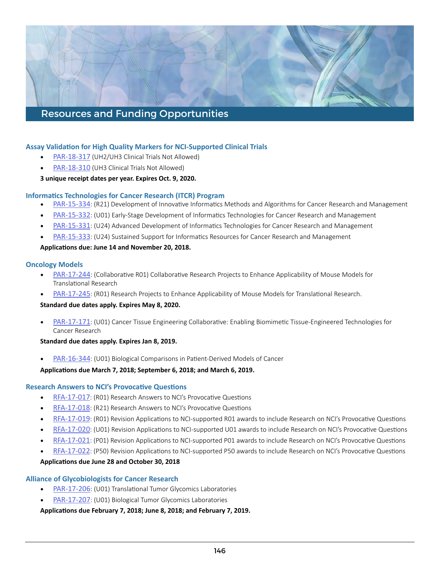### **Assay Validaton for High Quality Markers for NCI-Supported Clinical Trials**

- [PAR-18-317](http://grants.nih.gov/grants/guide/pa-files/PAR-18-317.html) (UH2/UH3 Clinical Trials Not Allowed)
- [PAR-18-310](http://grants.nih.gov/grants/guide/pa-files/PAR-18-310.html) (UH3 Clinical Trials Not Allowed)

**3 unique receipt dates per year. Expires Oct. 9, 2020.**

### **Informatics Technologies for Cancer Research (ITCR) Program**

- [PAR-15-334](http://grants.nih.gov/grants/guide/pa-files/PAR-15-334.html): (R21) Development of Innovative Informatics Methods and Algorithms for Cancer Research and Management
- [PAR-15-332](http://grants.nih.gov/grants/guide/pa-files/PAR-15-332.html): (U01) Early-Stage Development of Informatics Technologies for Cancer Research and Management
- [PAR-15-331](http://grants.nih.gov/grants/guide/pa-files/PAR-15-331.html): (U24) Advanced Development of Informatics Technologies for Cancer Research and Management
- [PAR-15-333](http://grants.nih.gov/grants/guide/pa-files/PAR-15-333.html): (U24) Sustained Support for Informatics Resources for Cancer Research and Management

### **Applicatons due: June 14 and November 20, 2018.**

### **Oncology Models**

- [PAR-17-244](http://grants.nih.gov/grants/guide/pa-files/PAR-17-244.html): (Collaborative R01) Collaborative Research Projects to Enhance Applicability of Mouse Models for Translational Research
- [PAR-17-245](http://grants.nih.gov/grants/guide/pa-files/PAR-17-245.html): (R01) Research Projects to Enhance Applicability of Mouse Models for Translational Research.

### **Standard due dates apply. Expires May 8, 2020.**

• [PAR-17-171](http://grants.nih.gov/grants/guide/pa-files/PAR-17-171.html): (U01) Cancer Tissue Engineering Collaborative: Enabling Biomimetic Tissue-Engineered Technologies for Cancer Research

### **Standard due dates apply. Expires Jan 8, 2019.**

• [PAR-16-344](http://grants.nih.gov/grants/guide/pa-files/PAR-16-344.html): (U01) Biological Comparisons in Patient-Derived Models of Cancer

### **Applicatons due March 7, 2018; September 6, 2018; and March 6, 2019.**

### **Research Answers to NCI's Provocative Questions**

- [RFA-17-017](http://grants.nih.gov/grants/guide/rfa-files/RFA-CA-17-017.html): (R01) Research Answers to NCI's Provocative Questions
- [RFA-17-018](http://grants.nih.gov/grants/guide/rfa-files/RFA-CA-17-018.html): (R21) Research Answers to NCI's Provocative Questions
- [RFA-17-019](http://grants.nih.gov/grants/guide/rfa-files/RFA-CA-17-019.html): (R01) Revision Applications to NCI-supported R01 awards to include Research on NCI's Provocative Questions
- [RFA-17-020](http://grants.nih.gov/grants/guide/rfa-files/RFA-CA-17-020.html): (U01) Revision Applications to NCI-supported U01 awards to include Research on NCI's Provocative Questions
- [RFA-17-021](http://grants.nih.gov/grants/guide/rfa-files/RFA-CA-17-021.html): (P01) Revision Applications to NCI-supported P01 awards to include Research on NCI's Provocative Questions
- [RFA-17-022](http://grants.nih.gov/grants/guide/rfa-files/RFA-CA-17-022.html): (P50) Revision Applications to NCI-supported P50 awards to include Research on NCI's Provocative Questions

### **Applicatons due June 28 and October 30, 2018**

### **Alliance of Glycobiologists for Cancer Research**

- [PAR-17-206](http://grants.nih.gov/grants/guide/pa-files/PAR-17-206.html): (U01) Translational Tumor Glycomics Laboratories
- [PAR-17-207](http://grants.nih.gov/grants/guide/pa-files/PAR-17-207.html): (U01) Biological Tumor Glycomics Laboratories

### **Applicatons due February 7, 2018; June 8, 2018; and February 7, 2019.**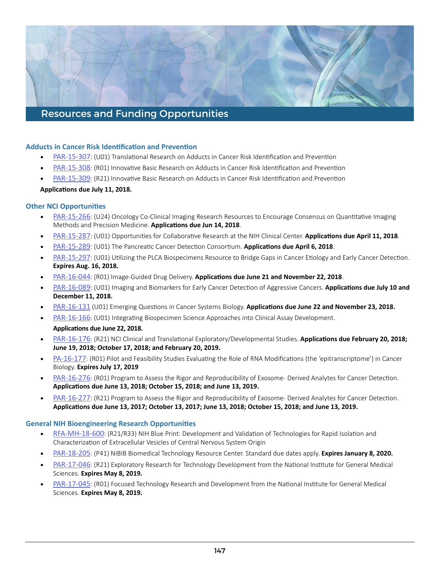### **Adducts in Cancer Risk Identification and Prevention**

- [PAR-15-307](http://grants.nih.gov/grants/guide/pa-files/PAR-15-307.html): (U01) Translational Research on Adducts in Cancer Risk Identification and Prevention
- [PAR-15-308](http://grants.nih.gov/grants/guide/pa-files/PAR-15-308.html): (R01) Innovative Basic Research on Adducts in Cancer Risk Identification and Prevention
- [PAR-15-309](http://grants.nih.gov/grants/guide/pa-files/PAR-15-309.html): (R21) Innovative Basic Research on Adducts in Cancer Risk Identification and Prevention

### **Applicatons due July 11, 2018.**

### **Other NCI Opportunites**

- [PAR-15-266](http://grants.nih.gov/grants/guide/pa-files/PAR-15-266.html): (U24) Oncology Co-Clinical Imaging Research Resources to Encourage Consensus on Quantitative Imaging Methods and Precision Medicine. **Applicatons due Jun 14, 2018**.
- **[PAR-15-287](http://grants.nih.gov/grants/guide/pa-files/PAR-15-287.html):** (U01) Opportunities for Collaborative Research at the NIH Clinical Center. Applications due April 11, 2018.
- **[PAR-15-289](http://grants.nih.gov/grants/guide/pa-files/PAR-15-289.html):** (U01) The Pancreatic Cancer Detection Consortium. Applications due April 6, 2018.
- [PAR-15-297](http://grants.nih.gov/grants/guide/pa-files/PAR-15-297.html): (U01) Utilizing the PLCA Biospecimens Resource to Bridge Gaps in Cancer Etiology and Early Cancer Detection. **Expires Aug. 16, 2018.**
- [PAR-16-044](http://grants.nih.gov/grants/guide/pa-files/PAR-16-044.html): (R01) Image-Guided Drug Delivery. **Applicatons due June 21 and November 22, 2018**.
- [PAR-16-089](http://grants.nih.gov/grants/guide/pa-files/PAR-16-089.html): (U01) Imaging and Biomarkers for Early Cancer Detecton of Aggressive Cancers. **Applicatons due July 10 and December 11, 2018.**
- [PAR-16-131](http://grants.nih.gov/grants/guide/pa-files/PAR-16-131.html) (U01) Emerging Questons in Cancer Systems Biology. **Applicatons due June 22 and November 23, 2018.**
- [PAR-16-166](http://grants.nih.gov/grants/guide/pa-files/PAR-16-166.html): (U01) Integrating Biospecimen Science Approaches into Clinical Assay Development. **Applicatons due June 22, 2018.**
- **[PAR-16-176](http://grants.nih.gov/grants/guide/pa-files/PAR-16-176.html)**: (R21) NCI Clinical and Translational Exploratory/Developmental Studies. Applications due February 20, 2018; **June 19, 2018; October 17, 2018; and February 20, 2019.**
- [PA-16-177](http://grants.nih.gov/grants/guide/pa-files/PA-16-177.html): (R01) Pilot and Feasibility Studies Evaluating the Role of RNA Modifications (the 'epitranscriptome') in Cancer Biology. **Expires July 17, 2019**
- [PAR-16-276](http://grants.nih.gov/grants/guide/pa-files/PAR-16-276.html): (R01) Program to Assess the Rigor and Reproducibility of Exosome- Derived Analytes for Cancer Detection. **Applicatons due June 13, 2018; October 15, 2018; and June 13, 2019.**
- [PAR-16-277](http://grants.nih.gov/grants/guide/pa-files/PAR-16-277.html): (R21) Program to Assess the Rigor and Reproducibility of Exosome- Derived Analytes for Cancer Detection. **Applicatons due June 13, 2017; October 13, 2017; June 13, 2018; October 15, 2018; and June 13, 2019.**

### **General NIH Bioengineering Research Opportunites**

- [RFA-MH-18-600](http://grants.nih.gov/grants/guide/rfa-files/RFA-MH-18-600.html): (R21/R33) NIH Blue Print: Development and Validation of Technologies for Rapid Isolation and Characterizaton of Extracellular Vesicles of Central Nervous System Origin
- [PAR-18-205](http://grants.nih.gov/grants/guide/pa-files/PAR-18-205.html): (P41) NIBIB Biomedical Technology Resource Center. Standard due dates apply. **Expires January 8, 2020.**
- [PAR-17-046](http://grants.nih.gov/grants/guide/pa-files/PAR-17-046.html): (R21) Exploratory Research for Technology Development from the National Institute for General Medical Sciences. **Expires May 8, 2019.**
- [PAR-17-045](http://grants.nih.gov/grants/guide/pa-files/PAR-17-045.html): (R01) Focused Technology Research and Development from the National Institute for General Medical Sciences. **Expires May 8, 2019.**